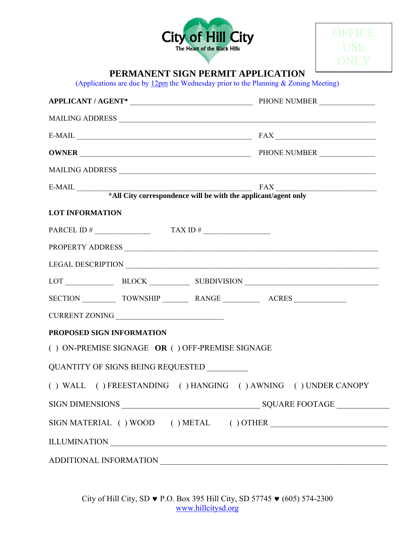



## **PERMANENT SIGN PERMIT APPLICATION**

(Applications are due by  $12 \text{pm}$  the Wednesday prior to the Planning & Zoning Meeting)

| $E-MAIL$ $FAX$ $T = 1$                                       |  |
|--------------------------------------------------------------|--|
|                                                              |  |
|                                                              |  |
|                                                              |  |
|                                                              |  |
| <b>LOT INFORMATION</b>                                       |  |
| PARCEL ID # $\qquad \qquad$ TAX ID # $\qquad \qquad$         |  |
|                                                              |  |
|                                                              |  |
| LOT BLOCK BLOCK SUBDIVISION                                  |  |
| SECTION TOWNSHIP RANGE ACRES                                 |  |
|                                                              |  |
| PROPOSED SIGN INFORMATION                                    |  |
| $( )$ ON-PREMISE SIGNAGE OR $( )$ OFF-PREMISE SIGNAGE        |  |
| QUANTITY OF SIGNS BEING REQUESTED                            |  |
| () WALL () FREESTANDING () HANGING () AWNING () UNDER CANOPY |  |
|                                                              |  |
|                                                              |  |
| ILLUMINATION                                                 |  |
| ADDITIONAL INFORMATION                                       |  |

City of Hill City, SD ♥ P.O. Box 395 Hill City, SD 57745 ♥ (605) 574-2300 www.hillcitysd.org